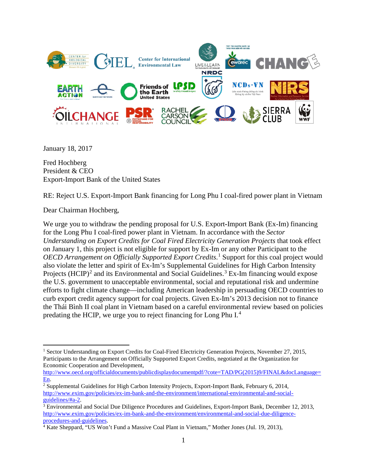

January 18, 2017

Fred Hochberg President & CEO Export-Import Bank of the United States

RE: Reject U.S. Export-Import Bank financing for Long Phu I coal-fired power plant in Vietnam

Dear Chairman Hochberg,

We urge you to withdraw the pending proposal for U.S. Export**-**Import Bank (Ex-Im) financing for the Long Phu I coal-fired power plant in Vietnam. In accordance with the *Sector Understanding on Export Credits for Coal Fired Electricity Generation Projects* that took effect on January 1, this project is not eligible for support by Ex-Im or any other Participant to the *OECD Arrangement on Officially Supported Export Credits*. [1](#page-0-0) Support for this coal project would also violate the letter and spirit of Ex-Im's Supplemental Guidelines for High Carbon Intensity Projects  $(HCIP)^2$  $(HCIP)^2$  and its Environmental and Social Guidelines.<sup>[3](#page-0-2)</sup> Ex-Im financing would expose the U.S. government to unacceptable environmental, social and reputational risk and undermine efforts to fight climate change—including American leadership in persuading OECD countries to curb export credit agency support for coal projects. Given Ex-Im's 2013 decision not to finance the Thái Bình II coal plant in Vietnam based on a careful environmental review based on policies predating the HCIP, we urge you to reject financing for Long Phu I.[4](#page-0-3)

[http://www.oecd.org/officialdocuments/publicdisplaydocumentpdf/?cote=TAD/PG\(2015\)9/FINAL&docLanguage=](http://www.oecd.org/officialdocuments/publicdisplaydocumentpdf/?cote=TAD/PG(2015)9/FINAL&docLanguage=En)

<span id="page-0-0"></span> $\overline{\phantom{a}}$ <sup>1</sup> Sector Understanding on Export Credits for Coal-Fired Electricity Generation Projects, November 27, 2015, Participants to the Arrangement on Officially Supported Export Credits, negotiated at the Organization for Economic Cooperation and Development,

<span id="page-0-1"></span>[En.](http://www.oecd.org/officialdocuments/publicdisplaydocumentpdf/?cote=TAD/PG(2015)9/FINAL&docLanguage=En) 2 Supplemental Guidelines for High Carbon Intensity Projects, Export-Import Bank, February 6, 2014, [http://www.exim.gov/policies/ex-im-bank-and-the-environment/international-environmental-and-social](http://www.exim.gov/policies/ex-im-bank-and-the-environment/international-environmental-and-social-guidelines/#a-2)[guidelines/#a-2.](http://www.exim.gov/policies/ex-im-bank-and-the-environment/international-environmental-and-social-guidelines/#a-2)<br><sup>3</sup> Environmental and Social Due Diligence Procedures and Guidelines, Export-Import Bank, December 12, 2013,

<span id="page-0-2"></span>http://www.exim.gov/policies/ex-im-bank-and-the-environment/environmental-and-social-due-diligence-<br>procedures-and-guidelines.

<span id="page-0-3"></span><sup>&</sup>lt;sup>4</sup> Kate Sheppard, "US Won't Fund a Massive Coal Plant in Vietnam," Mother Jones (Jul. 19, 2013),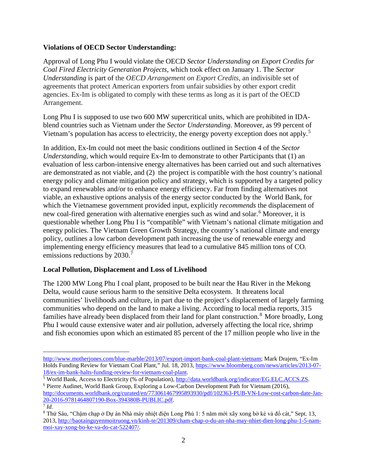### **Violations of OECD Sector Understanding:**

Approval of Long Phu I would violate the OECD *Sector Understanding on Export Credits for Coal Fired Electricity Generation Projects*, which took effect on January 1. The *Sector Understanding* is part of the *OECD Arrangement on Export Credits*, an indivisible set of agreements that protect American exporters from unfair subsidies by other export credit agencies. Ex-Im is obligated to comply with these terms as long as it is part of the OECD Arrangement.

Long Phu I is supposed to use two 600 MW supercritical units, which are prohibited in IDAblend countries such as Vietnam under the *Sector Understanding*. Moreover, as 99 percent of Vietnam's population has access to electricity, the energy poverty exception does not apply.<sup>[5](#page-1-0)</sup>

In addition, Ex-Im could not meet the basic conditions outlined in Section 4 of the *Sector Understanding*, which would require Ex-Im to demonstrate to other Participants that (1) an evaluation of less carbon-intensive energy alternatives has been carried out and such alternatives are demonstrated as not viable, and (2) the project is compatible with the host country's national energy policy and climate mitigation policy and strategy, which is supported by a targeted policy to expand renewables and/or to enhance energy efficiency. Far from finding alternatives not viable, an exhaustive options analysis of the energy sector conducted by the World Bank, for which the Vietnamese government provided input, explicitly *recommends* the displacement of new coal-fired generation with alternative energies such as wind and solar.<sup>[6](#page-1-1)</sup> Moreover, it is questionable whether Long Phu I is "compatible" with Vietnam's national climate mitigation and energy policies. The Vietnam Green Growth Strategy, the country's national climate and energy policy, outlines a low carbon development path increasing the use of renewable energy and implementing energy efficiency measures that lead to a cumulative 845 million tons of  $CO<sub>2</sub>$ emissions reductions by 2030.<sup>[7](#page-1-2)</sup>

# <span id="page-1-4"></span>**Local Pollution, Displacement and Loss of Livelihood**

 $\overline{\phantom{a}}$ 

The 1200 MW Long Phu I coal plant, proposed to be built near the Hau River in the Mekong Delta, would cause serious harm to the sensitive Delta ecosystem. It threatens local communities' livelihoods and culture, in part due to the project's displacement of largely farming communities who depend on the land to make a living. According to local media reports, 315 families have already been displaced from their land for plant construction.<sup>[8](#page-1-3)</sup> More broadly, Long Phu I would cause extensive water and air pollution, adversely affecting the local rice, shrimp and fish economies upon which an estimated 85 percent of the 17 million people who live in the

<span id="page-1-0"></span><sup>5</sup> World Bank, Access to Electricity (% of Population), [http://data.worldbank.org/indicator/EG.ELC.ACCS.ZS.](http://data.worldbank.org/indicator/EG.ELC.ACCS.ZS) <sup>6</sup> Pierre Audinet, World Bank Group, Exploring a Low-Carbon Development Path for Vietnam (2016),

[http://www.motherjones.com/blue-marble/2013/07/export-import-bank-coal-plant-vietnam;](http://www.motherjones.com/blue-marble/2013/07/export-import-bank-coal-plant-vietnam) Mark Drajem, "Ex-Im Holds Funding Review for Vietnam Coal Plant," Jul. 18, 2013, [https://www.bloomberg.com/news/articles/2013-07-](https://www.bloomberg.com/news/articles/2013-07-18/ex-im-bank-halts-funding-review-for-vietnam-coal-plant) [18/ex-im-bank-halts-funding-review-for-vietnam-coal-plant.](https://www.bloomberg.com/news/articles/2013-07-18/ex-im-bank-halts-funding-review-for-vietnam-coal-plant)

<span id="page-1-1"></span>[http://documents.worldbank.org/curated/en/773061467995893930/pdf/102363-PUB-VN-Low-cost-carbon-date-Jan-](http://documents.worldbank.org/curated/en/773061467995893930/pdf/102363-PUB-VN-Low-cost-carbon-date-Jan-20-2016-9781464807190-Box-394380B-PUBLIC.pdf)[20-2016-9781464807190-Box-394380B-PUBLIC.pdf.](http://documents.worldbank.org/curated/en/773061467995893930/pdf/102363-PUB-VN-Low-cost-carbon-date-Jan-20-2016-9781464807190-Box-394380B-PUBLIC.pdf) 7 *Id.*

<span id="page-1-3"></span><span id="page-1-2"></span><sup>8</sup> Thứ Sáu, "Chậm chạp ở Dự án Nhà máy nhiệt điện Long Phú 1: 5 năm mới xây xong bờ kè và đổ cát," Sept. 13, 2013, [http://baotainguyenmoitruong.vn/kinh-te/201309/cham-chap-o-du-an-nha-may-nhiet-dien-long-phu-1-5-nam](http://baotainguyenmoitruong.vn/kinh-te/201309/cham-chap-o-du-an-nha-may-nhiet-dien-long-phu-1-5-nam-moi-xay-xong-bo-ke-va-do-cat-522407/)[moi-xay-xong-bo-ke-va-do-cat-522407/.](http://baotainguyenmoitruong.vn/kinh-te/201309/cham-chap-o-du-an-nha-may-nhiet-dien-long-phu-1-5-nam-moi-xay-xong-bo-ke-va-do-cat-522407/)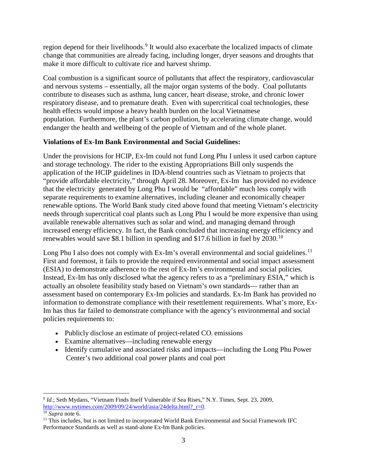region depend for their livelihoods.<sup>[9](#page-2-0)</sup> It would also exacerbate the localized impacts of climate change that communities are already facing, including longer, dryer seasons and droughts that make it more difficult to cultivate rice and harvest shrimp.

Coal combustion is a significant source of pollutants that affect the respiratory, cardiovascular and nervous systems – essentially, all the major organ systems of the body. Coal pollutants contribute to diseases such as asthma, lung cancer, heart disease, stroke, and chronic lower respiratory disease, and to premature death. Even with supercritical coal technologies, these health effects would impose a heavy health burden on the local Vietnamese population. Furthermore, the plant's carbon pollution, by accelerating climate change, would endanger the health and wellbeing of the people of Vietnam and of the whole planet.

# **Violations of Ex-Im Bank Environmental and Social Guidelines:**

Under the provisions for HCIP, Ex-Im could not fund Long Phu I unless it used carbon capture and storage technology. The rider to the existing Appropriations Bill only suspends the application of the HCIP guidelines in IDA-blend countries such as Vietnam to projects that "provide affordable electricity," through April 28. Moreover, Ex-Im has provided no evidence that the electricity generated by Long Phu I would be "affordable" much less comply with separate requirements to examine alternatives, including cleaner and economically cheaper renewable options. The World Bank study cited above found that meeting Vietnam's electricity needs through supercritical coal plants such as Long Phu I would be more expensive than using available renewable alternatives such as solar and wind, and managing demand through increased energy efficiency. In fact, the Bank concluded that increasing energy efficiency and renewables would save \$8.1 billion in spending and \$17.6 billion in fuel by  $2030.^{10}$  $2030.^{10}$  $2030.^{10}$ 

Long Phu I also does not comply with Ex-Im's overall environmental and social guidelines.<sup>[11](#page-2-2)</sup> First and foremost, it fails to provide the required environmental and social impact assessment (ESIA) to demonstrate adherence to the rest of Ex-Im's environmental and social policies. Instead, Ex-Im has only disclosed what the agency refers to as a "preliminary ESIA," which is actually an obsolete feasibility study based on Vietnam's own standards— rather than an assessment based on contemporary Ex-Im policies and standards. Ex-Im Bank has provided no information to demonstrate compliance with their resettlement requirements. What's more, Ex-Im has thus far failed to demonstrate compliance with the agency's environmental and social policies requirements to:

- Publicly disclose an estimate of project-related  $CO<sub>2</sub>$  emissions
- Examine alternatives—including renewable energy
- Identify cumulative and associated risks and impacts—including the Long Phu Power Center's two additional coal power plants and coal port

<span id="page-2-0"></span> $\overline{\phantom{a}}$ <sup>9</sup> *Id.*; Seth Mydans, "Vietnam Finds Itself Vulnerable if Sea Rises," N.Y. Times, Sept. 23, 2009, [http://www.nytimes.com/2009/09/24/world/asia/24delta.html?\\_r=0.](http://www.nytimes.com/2009/09/24/world/asia/24delta.html?_r=0) 10 *Supra* note [6.](#page-1-4)

<span id="page-2-2"></span><span id="page-2-1"></span> $11$  This includes, but is not limited to incorporated World Bank Environmental and Social Framework IFC Performance Standards as well as stand-alone Ex-Im Bank policies.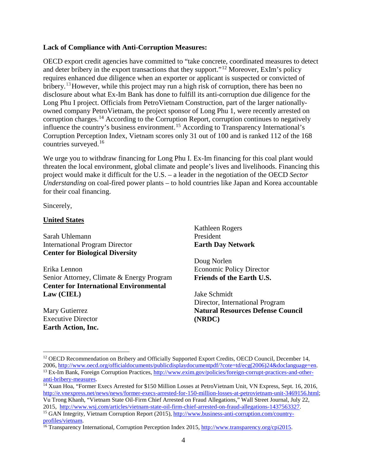### **Lack of Compliance with Anti-Corruption Measures:**

OECD export credit agencies have committed to "take concrete, coordinated measures to detect and deter bribery in the export transactions that they support."[12](#page-3-0) Moreover, ExIm's policy requires enhanced due diligence when an exporter or applicant is suspected or convicted of bribery.<sup>[13](#page-3-1)</sup> However, while this project may run a high risk of corruption, there has been no disclosure about what Ex-Im Bank has done to fulfill its anti-corruption due diligence for the Long Phu I project. Officials from PetroVietnam Construction, part of the larger nationallyowned company PetroVietnam, the project sponsor of Long Phu 1, were recently arrested on corruption charges.<sup>[14](#page-3-2)</sup> According to the Corruption Report, corruption continues to negatively influence the country's business environment.<sup>[15](#page-3-3)</sup> According to Transparency International's Corruption Perception Index, Vietnam scores only 31 out of 100 and is ranked 112 of the 168 countries surveyed.[16](#page-3-4)

We urge you to withdraw financing for Long Phu I. Ex-Im financing for this coal plant would threaten the local environment, global climate and people's lives and livelihoods. Financing this project would make it difficult for the U.S. – a leader in the negotiation of the OECD *Sector Understanding* on coal-fired power plants – to hold countries like Japan and Korea accountable for their coal financing.

Sincerely,

### **United States**

Sarah Uhlemann International Program Director **Center for Biological Diversity**

Erika Lennon Senior Attorney, Climate & Energy Program **Center for International Environmental Law (CIEL)**

Mary Gutierrez Executive Director **Earth Action, Inc.**

 $\overline{\phantom{a}}$ 

Kathleen Rogers President **Earth Day Network**

Doug Norlen Economic Policy Director **Friends of the Earth U.S.**

Jake Schmidt Director, International Program **Natural Resources Defense Council (NRDC)**

<span id="page-3-0"></span><sup>&</sup>lt;sup>12</sup> OECD Recommendation on Bribery and Officially Supported Export Credits, OECD Council, December 14,<br>2006, <u>http://www.oecd.org/officialdocuments/publicdisplaydocumentpdf/?cote=td/ecg(2006)24&doclanguage=en</u>.

<span id="page-3-1"></span><sup>&</sup>lt;sup>13</sup> Ex-Im Bank, Foreign Corruption Practices, http://www.exim.gov/policies/foreign-corrupt-practices-and-other-<br>anti-bribery-measures.

<span id="page-3-2"></span> $\frac{14}{14}$  Xuan Hoa, "Former Execs Arrested for \$150 Million Losses at PetroVietnam Unit, VN Express, Sept. 16, 2016, [http://e.vnexpress.net/news/news/former-execs-arrested-for-150-million-losses-at-petrovietnam-unit-3469156.html;](http://e.vnexpress.net/news/news/former-execs-arrested-for-150-million-losses-at-petrovietnam-unit-3469156.html) Vu Trong Khanh, "Vietnam State Oil-Firm Chief Arrested on Fraud Allegations," Wall Street Journal, July 22, 2015, [http://www.wsj.com/articles/vietnam-state-oil-firm-chief-arrested-on-fraud-allegations-1437563327.](http://www.wsj.com/articles/vietnam-state-oil-firm-chief-arrested-on-fraud-allegations-1437563327)<br><sup>15</sup> GAN Integrity, Vietnam Corruption Report (2015), http://www.business-anti-corruption.com/country-<br>profiles/vietn

<span id="page-3-3"></span>

<span id="page-3-4"></span><sup>&</sup>lt;sup>16</sup> Transparency International, Corruption Perception Index 2015, [http://www.transparency.org/cpi2015.](http://www.transparency.org/cpi2015)